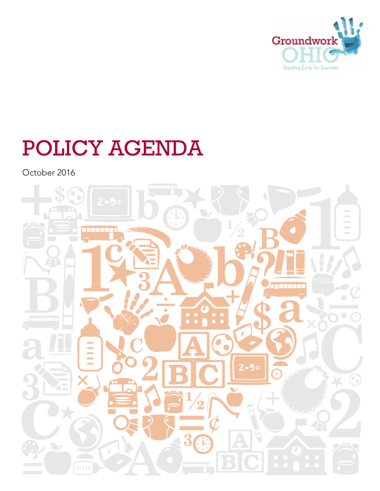

# POLICY AGENDA

October 2016

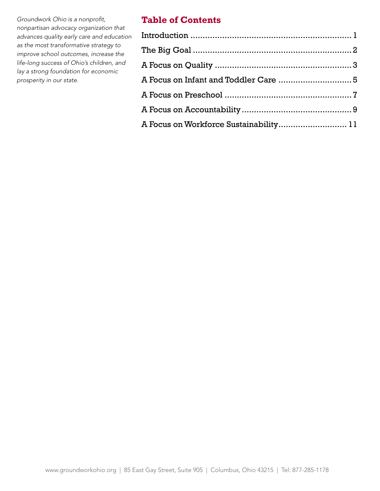*Groundwork Ohio is a nonprofit, nonpartisan advocacy organization that advances quality early care and education as the most transformative strategy to improve school outcomes, increase the life-long success of Ohio's children, and lay a strong foundation for economic prosperity in our state.*

## **Table of Contents**

| A Focus on Workforce Sustainability 11 |  |
|----------------------------------------|--|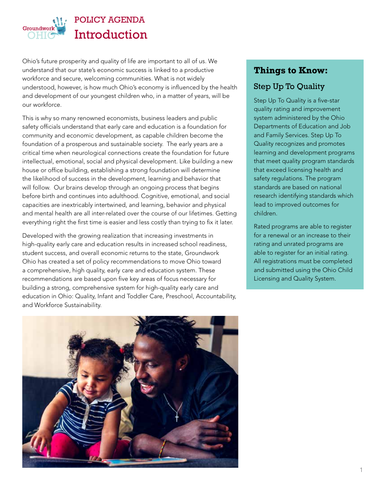

# POLICY AGENDA **Introduction**

Ohio's future prosperity and quality of life are important to all of us. We understand that our state's economic success is linked to a productive workforce and secure, welcoming communities. What is not widely understood, however, is how much Ohio's economy is influenced by the health and development of our youngest children who, in a matter of years, will be our workforce.

This is why so many renowned economists, business leaders and public safety officials understand that early care and education is a foundation for community and economic development, as capable children become the foundation of a prosperous and sustainable society. The early years are a critical time when neurological connections create the foundation for future intellectual, emotional, social and physical development. Like building a new house or office building, establishing a strong foundation will determine the likelihood of success in the development, learning and behavior that will follow. Our brains develop through an ongoing process that begins before birth and continues into adulthood. Cognitive, emotional, and social capacities are inextricably intertwined, and learning, behavior and physical and mental health are all inter-related over the course of our lifetimes. Getting everything right the first time is easier and less costly than trying to fix it later.

Developed with the growing realization that increasing investments in high-quality early care and education results in increased school readiness, student success, and overall economic returns to the state, Groundwork Ohio has created a set of policy recommendations to move Ohio toward a comprehensive, high quality, early care and education system. These recommendations are based upon five key areas of focus necessary for building a strong, comprehensive system for high-quality early care and education in Ohio: Quality, Infant and Toddler Care, Preschool, Accountability, and Workforce Sustainability.

#### **Things to Know:**

## Step Up To Quality

Step Up To Quality is a five-star quality rating and improvement system administered by the Ohio Departments of Education and Job and Family Services. Step Up To Quality recognizes and promotes learning and development programs that meet quality program standards that exceed licensing health and safety regulations. The program standards are based on national research identifying standards which lead to improved outcomes for children.

Rated programs are able to register for a renewal or an increase to their rating and unrated programs are able to register for an initial rating. All registrations must be completed and submitted using the Ohio Child Licensing and Quality System.

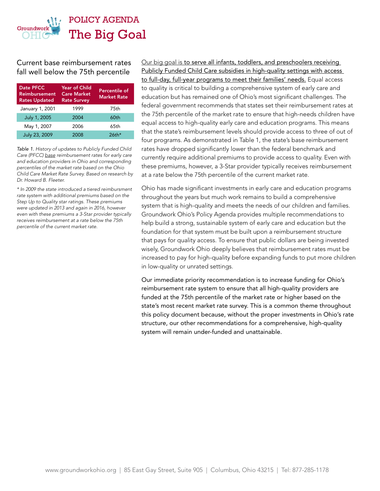

Current base reimbursement rates fall well below the 75th percentile

| Date PFCC<br><b>Reimbursement</b><br><b>Rates Updated</b> | <b>Year of Child</b><br><b>Care Market</b><br><b>Rate Survey</b> | <b>Percentile of</b><br><b>Market Rate</b> |
|-----------------------------------------------------------|------------------------------------------------------------------|--------------------------------------------|
| January 1, 2001                                           | 1999                                                             | 75th                                       |
| July 1, 2005                                              | 2004                                                             | 60th                                       |
| May 1, 2007                                               | 2006                                                             | 65th                                       |
| July 23, 2009                                             | 2008                                                             | $26$ th*                                   |

*Table 1. History of updates to Publicly Funded Child Care (PFCC) base reimbursement rates for early care and education providers in Ohio and corresponding percentiles of the market rate based on the Ohio Child Care Market Rate Survey. Based on research by Dr. Howard B. Fleeter.*

*\* In 2009 the state introduced a tiered reimbursment rate system with additional premiums based on the Step Up to Quality star ratings. These premiums were updated in 2013 and again in 2016, however even with these premiums a 3-Star provider typically receives reimbursement at a rate below the 75th percentile of the current market rate.*

Our big goal is to serve all infants, toddlers, and preschoolers receiving Publicly Funded Child Care subsidies in high-quality settings with access to full-day, full-year programs to meet their families' needs. Equal access to quality is critical to building a comprehensive system of early care and education but has remained one of Ohio's most significant challenges. The federal government recommends that states set their reimbursement rates at the 75th percentile of the market rate to ensure that high-needs children have equal access to high-quality early care and education programs. This means that the state's reimbursement levels should provide access to three of out of four programs. As demonstrated in Table 1, the state's base reimbursement rates have dropped significantly lower than the federal benchmark and currently require additional premiums to provide access to quality. Even with these premiums, however, a 3-Star provider typically receives reimbursement at a rate below the 75th percentile of the current market rate.

Ohio has made significant investments in early care and education programs throughout the years but much work remains to build a comprehensive system that is high-quality and meets the needs of our children and families. Groundwork Ohio's Policy Agenda provides multiple recommendations to help build a strong, sustainable system of early care and education but the foundation for that system must be built upon a reimbursement structure that pays for quality access. To ensure that public dollars are being invested wisely, Groundwork Ohio deeply believes that reimbursement rates must be increased to pay for high-quality before expanding funds to put more children in low-quality or unrated settings.

Our immediate priority recommendation is to increase funding for Ohio's reimbursement rate system to ensure that all high-quality providers are funded at the 75th percentile of the market rate or higher based on the state's most recent market rate survey. This is a common theme throughout this policy document because, without the proper investments in Ohio's rate structure, our other recommendations for a comprehensive, high-quality system will remain under-funded and unattainable.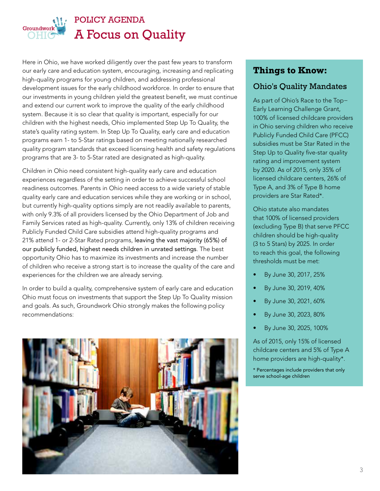

# POLICY AGENDA A Focus on Quality

Here in Ohio, we have worked diligently over the past few years to transform our early care and education system, encouraging, increasing and replicating high-quality programs for young children, and addressing professional development issues for the early childhood workforce. In order to ensure that our investments in young children yield the greatest benefit, we must continue and extend our current work to improve the quality of the early childhood system. Because it is so clear that quality is important, especially for our children with the highest needs, Ohio implemented Step Up To Quality, the state's quality rating system. In Step Up To Quality, early care and education programs earn 1- to 5-Star ratings based on meeting nationally researched quality program standards that exceed licensing health and safety regulations programs that are 3- to 5-Star rated are designated as high-quality.

Children in Ohio need consistent high-quality early care and education experiences regardless of the setting in order to achieve successful school readiness outcomes. Parents in Ohio need access to a wide variety of stable quality early care and education services while they are working or in school, but currently high-quality options simply are not readily available to parents, with only 9.3% of all providers licensed by the Ohio Department of Job and Family Services rated as high-quality. Currently, only 13% of children receiving Publicly Funded Child Care subsidies attend high-quality programs and 21% attend 1- or 2-Star Rated programs, leaving the vast majority (65%) of our publicly funded, highest needs children in unrated settings. The best opportunity Ohio has to maximize its investments and increase the number of children who receive a strong start is to increase the quality of the care and experiences for the children we are already serving.

In order to build a quality, comprehensive system of early care and education Ohio must focus on investments that support the Step Up To Quality mission and goals. As such, Groundwork Ohio strongly makes the following policy recommendations:



## **Things to Know:**

#### Ohio's Quality Mandates

As part of Ohio's Race to the Top− Early Learning Challenge Grant, 100% of licensed childcare providers in Ohio serving children who receive Publicly Funded Child Care (PFCC) subsidies must be Star Rated in the Step Up to Quality five-star quality rating and improvement system by 2020. As of 2015, only 35% of licensed childcare centers, 26% of Type A, and 3% of Type B home providers are Star Rated\*.

Ohio statute also mandates that 100% of licensed providers (excluding Type B) that serve PFCC children should be high-quality (3 to 5 Stars) by 2025. In order to reach this goal, the following thresholds must be met:

- By June 30, 2017, 25%
- By June 30, 2019, 40%
- By June 30, 2021, 60%
- By June 30, 2023, 80%
- By June 30, 2025, 100%

As of 2015, only 15% of licensed childcare centers and 5% of Type A home providers are high-quality\*.

\* Percentages include providers that only serve school-age children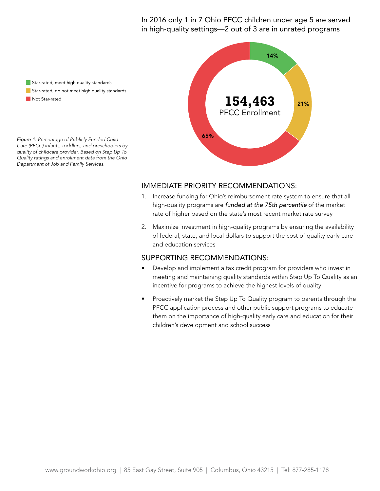in high-quality settings—2 out of 3 are in unrated programs In 2016 only 1 in 7 Ohio PFCC children under age 5 are served

Star-rated, meet high quality standards Star-rated, do not meet high quality standards Not Star-rated

*Figure 1. Percentage of Publicly Funded Child Care (PFCC) infants, toddlers, and preschoolers by quality of childcare provider. Based on Step Up To Quality ratings and enrollment data from the Ohio Department of Job and Family Services.*



#### $S$  $\sim$ IMMEDIATE PRIORITY RECOMMENDATIONS:

- 1. Increase funding for Ohio's reimbursement rate system to ensure that all rate of higher based on the state's most recent market rate survey high-quality programs are *funded at the 75th percentile* of the market
- 2. Maximize investment in high-quality programs by ensuring the availability of federal, state, and local dollars to support the cost of quality early care and education services **preschoolers in public buildings that reported enrolment** enrolment enrolment enrolment and that reported enrolment enrolment and that reported enrolment enrolment and the enrolment enrolment and th

- Develop and implement a tax credit program for providers who invest in meeting and maintaining quality standards within Step Up To Quality as an incentive for programs to achieve the highest levels of quality
- Proactively market the Step Up To Quality program to parents through the PFCC application process and other public support programs to educate them on the importance of high-quality early care and education for their children's development and school success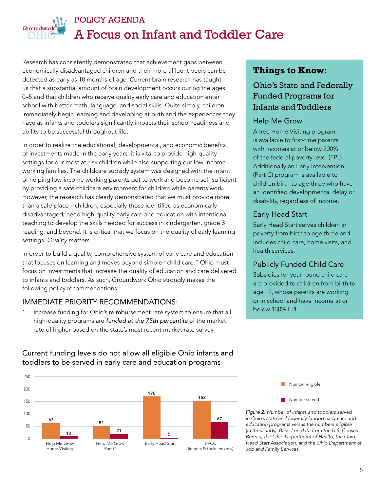

# POLICY AGENDA A Focus on Infant and Toddler Care

Research has consistently demonstrated that achievement gaps between economically disadvantaged children and their more affluent peers can be detected as early as 18 months of age. Current brain research has taught us that a substantial amount of brain development occurs during the ages 0–5 and that children who receive quality early care and education enter school with better math, language, and social skills. Quite simply, children immediately begin learning and developing at birth and the experiences they have as infants and toddlers significantly impacts their school readiness and ability to be successful throughout life.

In order to realize the educational, developmental, and economic benefits of investments made in the early years, it is vital to provide high-quality settings for our most at-risk children while also supporting our low-income working families. The childcare subsidy system was designed with the intent of helping low-income working parents get to work and become self-sufficient by providing a safe childcare environment for children while parents work. However, the research has clearly demonstrated that we must provide more than a safe place—children, especially those identified as economically disadvantaged, need high-quality early care and education with intentional teaching to develop the skills needed for success in kindergarten, grade 3 reading, and beyond. It is critical that we focus on the quality of early learning settings. *Quality matters*.

In order to build a quality, comprehensive system of early care and education that focuses on learning and moves beyond simple "child care," Ohio must focus on investments that increase the quality of education and care delivered to infants and toddlers. As such, Groundwork Ohio strongly makes the following policy recommendations:

#### IMMEDIATE PRIORITY RECOMMENDATIONS:

1. Increase funding for Ohio's reimbursement rate system to ensure that all high-quality programs are *funded at the 75th percentile* of the market rate of higher based on the state's most recent market rate survey



Current funding levels do not allow all eligible Ohio infants and toddlers to be served in early care and education programs

# **Things to Know:**

## Ohio's State and Federally Funded Programs for Infants and Toddlers

#### Help Me Grow

A free Home Visiting program is available to first-time parents with incomes at or below 200% of the federal poverty level (FPL). Additionally an Early Intervention (Part C) program is available to children birth to age three who have an identified developmental delay or disability, regardless of income.

#### Early Head Start

Early Head Start serves children in poverty from birth to age three and includes child care, home visits, and health services.

#### Publicly Funded Child Care

Subsidies for year-round child care are provided to children from birth to age 12, whose parents are working or in school and have income at or below 130% FPL.



Bureau, the Ohio Department of Health, the Ohio *Figure 2. Number of infants and toddlers served in Ohio's state and federally funded early care and education programs versus the numbers eligible (in thousands). Based on data from the U.S. Census Head Start Association, and the Ohio Department of Job and Family Services.*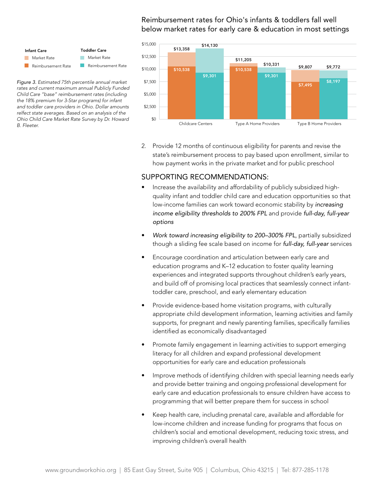#### \$12,500 below market rates for early care & education in most settings Reimbursement rates for Ohio's infants & toddlers fall well



Child Care "base" reimbursement rates (including Toddler Care \$5,000 *rates and current maximum annual Publicly Funded*  and sure suce communications in ruled (miskuing)<br>the 18% premium for 3-Star programs) for infant \$0 *relfect state averages. Based on an analysis of the*  Market Rate *Figure 3. Estimated 75th percentile annual market and toddler care providers in Ohio. Dollar amounts Ohio Child Care Market Rate Survey by Dr. Howard B. Fleeter.*



2. Provide 12 months of continuous eligibility for parents and revise the state's reimbursement process to pay based upon enrollment, similar to how payment works in the private market and for public preschool

- Increase the availability and affordability of publicly subsidized highquality infant and toddler child care and education opportunities so that low-income families can work toward economic stability by *increasing income eligibility thresholds to 200% FPL* and provide *full-day, full-year options*
- *Work toward increasing eligibility to 200–300% FPL*, partially subsidized though a sliding fee scale based on income for *full-day, full-year* services
- Encourage coordination and articulation between early care and education programs and K–12 education to foster quality learning experiences and integrated supports throughout children's early years, and build off of promising local practices that seamlessly connect infanttoddler care, preschool, and early elementary education
- Provide evidence-based home visitation programs, with culturally appropriate child development information, learning activities and family supports, for pregnant and newly parenting families, specifically families identified as economically disadvantaged
- Promote family engagement in learning activities to support emerging literacy for all children and expand professional development opportunities for early care and education professionals
- Improve methods of identifying children with special learning needs early and provide better training and ongoing professional development for early care and education professionals to ensure children have access to programming that will better prepare them for success in school
- Keep health care, including prenatal care, available and affordable for low-income children and increase funding for programs that focus on children's social and emotional development, reducing toxic stress, and improving children's overall health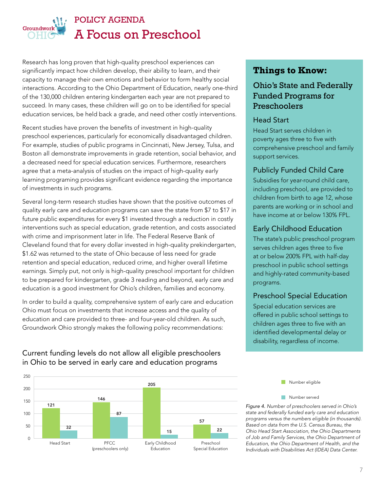

Research has long proven that high-quality preschool experiences can significantly impact how children develop, their ability to learn, and their capacity to manage their own emotions and behavior to form healthy social interactions. According to the Ohio Department of Education, nearly one-third of the 130,000 children entering kindergarten each year are not prepared to succeed. In many cases, these children will go on to be identified for special education services, be held back a grade, and need other costly interventions.

Recent studies have proven the benefits of investment in high-quality preschool experiences, particularly for economically disadvantaged children. For example, studies of public programs in Cincinnati, New Jersey, Tulsa, and Boston all demonstrate improvements in grade retention, social behavior, and a decreased need for special education services. Furthermore, researchers agree that a meta-analysis of studies on the impact of high-quality early learning programing provides significant evidence regarding the importance of investments in such programs.

Several long-term research studies have shown that the positive outcomes of quality early care and education programs can save the state from \$7 to \$17 in future public expenditures for every \$1 invested through a reduction in costly interventions such as special education, grade retention, and costs associated with crime and imprisonment later in life. The Federal Reserve Bank of Cleveland found that for every dollar invested in high-quality prekindergarten, \$1.62 was returned to the state of Ohio because of less need for grade retention and special education, reduced crime, and higher overall lifetime earnings. Simply put, not only is high-quality preschool important for children to be prepared for kindergarten, grade 3 reading and beyond, early care and education is a good investment for Ohio's children, families and economy.

In order to build a quality, comprehensive system of early care and education 150 153 170 Ohio must focus on investments that increase access and the quality of education and care provided to three- and four-year-old children. As such, Groundwork Ohio strongly makes the following policy recommendations: 50 51 63

#### Current funding levels do not allow all eligible preschoolers in Ohio to be served in early care and education programs



#### **Things to Know:**

#### Ohio's State and Federally Funded Programs for Preschoolers

#### Head Start

Head Start serves children in poverty ages three to five with comprehensive preschool and family support services.

#### Publicly Funded Child Care

Subsidies for year-round child care, including preschool, are provided to children from birth to age 12, whose parents are working or in school and have income at or below 130% FPL.

#### Early Childhood Education

The state's public preschool program serves children ages three to five at or below 200% FPL with half-day 200 preschool in public school settings and highly-rated community-based programs.

## Preschool Special Education

s<br>Special education services are offered in public school settings to children ages three to five with an identified developmental delay or disability, regardless of income. 250

Number eligible

#### Number served

*Figure 4. Number of preschoolers served in Ohio's state and federally funded early care and education programs versus the numbers eligible (in thousands). Based on data from the U.S. Census Bureau, the Ohio Head Start Association, the Ohio Departments of Job and Family Services, the Ohio Department of Education, the Ohio Department of Health, and the Individuals with Disabilities Act (IDEA) Data Center.*

Help Me Grow Home Visiting

63

200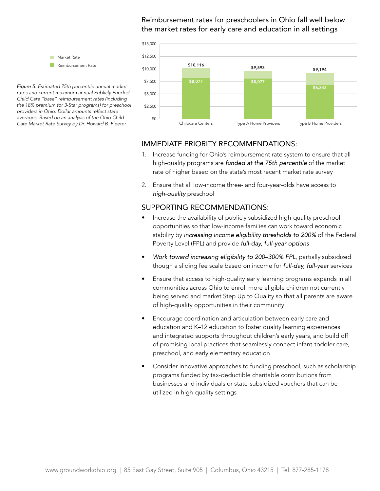#### Reimbursement rates for preschoolers in Ohio fall well below the market rates for early care and education in all settings



IMMEDIATE PRIORITY RECOMMENDATIONS:

- 1. Increase funding for Ohio's reimbursement rate system to ensure that all high-quality programs are *funded at the 75th percentile* of the market rate of higher based on the state's most recent market rate survey
- 2. Ensure that all low-income three- and four-year-olds have access to *high-quality* preschool

#### SUPPORTING RECOMMENDATIONS:

- Increase the availability of publicly subsidized high-quality preschool opportunities so that low-income families can work toward economic stability by *increasing income eligibility thresholds to 200%* of the Federal Poverty Level (FPL) and provide *full-day, full-year options*
- *Work toward increasing eligibility to 200–300% FPL*, partially subsidized though a sliding fee scale based on income for *full-day, full-year* services
- Ensure that access to high-quality early learning programs expands in all communities across Ohio to enroll more eligible children not currently being served and market Step Up to Quality so that all parents are aware of high-quality opportunities in their community
- Encourage coordination and articulation between early care and education and K–12 education to foster quality learning experiences and integrated supports throughout children's early years, and build off of promising local practices that seamlessly connect infant-toddler care, preschool, and early elementary education
- Consider innovative approaches to funding preschool, such as scholarship programs funded by tax-deductible charitable contributions from businesses and individuals or state-subsidized vouchers that can be utilized in high-quality settings

Reimbursement Rate \$2,500 *Figure 5. Estimated 75th percentile annual market*  \$0 *Child Care "base" reimbursement rates (including rates and current maximum annual Publicly Funded the 18% premium for 3-Star programs) for preschool providers in Ohio. Dollar amounts relfect state averages. Based on an analysis of the Ohio Child Care Market Rate Survey by Dr. Howard B. Fleeter.*

**Market Rate** Reimbursement Rate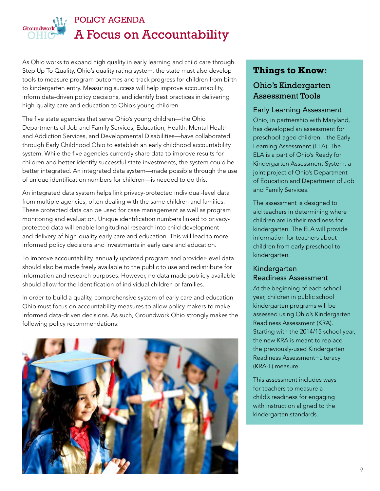

# POLICY AGENDA A Focus on Accountability

As Ohio works to expand high quality in early learning and child care through Step Up To Quality, Ohio's quality rating system, the state must also develop tools to measure program outcomes and track progress for children from birth to kindergarten entry. Measuring success will help improve accountability, inform data-driven policy decisions, and identify best practices in delivering high-quality care and education to Ohio's young children.

The five state agencies that serve Ohio's young children—the Ohio Departments of Job and Family Services, Education, Health, Mental Health and Addiction Services, and Developmental Disabilities—have collaborated through Early Childhood Ohio to establish an early childhood accountability system. While the five agencies currently share data to improve results for children and better identify successful state investments, the system could be better integrated. An integrated data system—made possible through the use of unique identification numbers for children—is needed to do this.

An integrated data system helps link privacy-protected individual-level data from multiple agencies, often dealing with the same children and families. These protected data can be used for case management as well as program monitoring and evaluation. Unique identification numbers linked to privacyprotected data will enable longitudinal research into child development and delivery of high-quality early care and education. This will lead to more informed policy decisions and investments in early care and education.

To improve accountability, annually updated program and provider-level data should also be made freely available to the public to use and redistribute for information and research purposes. However, no data made publicly available should allow for the identification of individual children or families.

In order to build a quality, comprehensive system of early care and education Ohio must focus on accountability measures to allow policy makers to make informed data-driven decisions. As such, Groundwork Ohio strongly makes the following policy recommendations:



## **Things to Know:**

## Ohio's Kindergarten Assessment Tools

#### Early Learning Assessment

Ohio, in partnership with Maryland, has developed an assessment for preschool-aged children—the Early Learning Assessment (ELA). The ELA is a part of Ohio's Ready for Kindergarten Assessment System, a joint project of Ohio's Department of Education and Department of Job and Family Services.

The assessment is designed to aid teachers in determining where children are in their readiness for kindergarten. The ELA will provide information for teachers about children from early preschool to kindergarten.

#### Kindergarten Readiness Assessment

At the beginning of each school year, children in public school kindergarten programs will be assessed using Ohio's Kindergarten Readiness Assessment (KRA). Starting with the 2014/15 school year, the new KRA is meant to replace the previously-used Kindergarten Readiness Assessment−Literacy (KRA-L) measure.

This assessment includes ways for teachers to measure a child's readiness for engaging with instruction aligned to the kindergarten standards.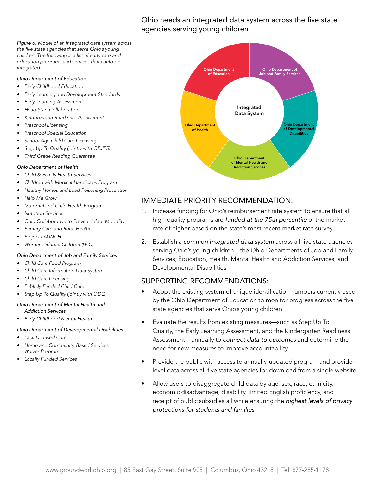Ohio needs an integrated data system across the five state agencies serving young children

*Figure 6. Model of an integrated data system across the five state agencies that serve Ohio's young children. The following is a list of early care and education programs and services that could be integrated:*

#### *Ohio Department of Education*

- *• Early Childhood Education*
- *• Early Learning and Development Standards*
- *• Early Learning Assessment*
- *• Head Start Collaboration*
- *• Kindergarten Readiness Assessment*
- *• Preschool Licensing*
- *• Preschool Special Education*
- *• School Age Child Care Licensing*
- *• Step Up To Quality (jointly with ODJFS)*
- *• Third Grade Reading Guarantee*

#### *Ohio Department of Health*

- *• Child & Family Health Services*
- *• Children with Medical Handicaps Program*
- *• Healthy Homes and Lead Poisoning Prevention*
- *• Help Me Grow*
- *• Maternal and Child Health Program*
- *• Nutrition Services*
- *• Ohio Collaborative to Prevent Infant Mortality*
- *• Primary Care and Rural Health*
- *• Project LAUNCH*

*• Women, Infants, Children (WIC)*

#### *Ohio Department of Job and Family Services*

- *• Child Care Food Program • Child Care Information Data System*
- *• Child Care Licensing*
- *• Publicly Funded Child Care*
- *• Step Up To Quality (jointly with ODE)*

#### *Ohio Department of Mental Health and Addiction Services*

*• Early Childhood Mental Health*

#### *Ohio Department of Developmental Disabilities*

- *• Facility-Based Care*
- *• Home and Community-Based Services Waiver Program*
- *• Locally Funded Services*



#### IMMEDIATE PRIORITY RECOMMENDATION:

- 1. Increase funding for Ohio's reimbursement rate system to ensure that all high-quality programs are *funded at the 75th percentile* of the market rate of higher based on the state's most recent market rate survey
- 2. Establish a *common integrated data system* across all five state agencies serving Ohio's young children—the Ohio Departments of Job and Family Services, Education, Health, Mental Health and Addiction Services, and Developmental Disabilities

- Adopt the existing system of unique identification numbers currently used by the Ohio Department of Education to monitor progress across the five state agencies that serve Ohio's young children
- Evaluate the results from existing measures—such as Step Up To Quality, the Early Learning Assessment, and the Kindergarten Readiness Assessment—annually to *connect data to outcomes* and determine the need for new measures to improve accountability
- Provide the public with access to annually-updated program and providerlevel data across all five state agencies for download from a single website
- Allow users to disaggregate child data by age, sex, race, ethnicity, economic disadvantage, disability, limited English proficiency, and receipt of public subsidies all while ensuring the *highest levels of privacy protections for students and families*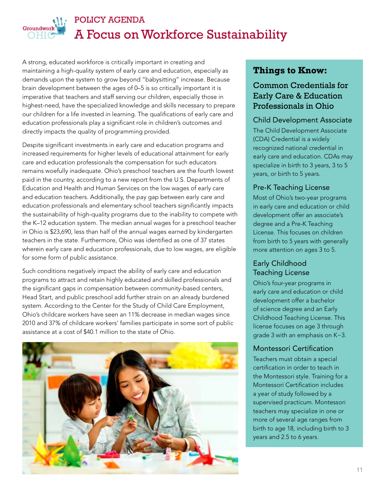

## POLICY AGENDA A Focus on Workforce Sustainability

A strong, educated workforce is critically important in creating and maintaining a high-quality system of early care and education, especially as demands upon the system to grow beyond "babysitting" increase. Because brain development between the ages of 0–5 is so critically important it is imperative that teachers and staff serving our children, especially those in highest-need, have the specialized knowledge and skills necessary to prepare our children for a life invested in learning. The qualifications of early care and education professionals play a significant role in children's outcomes and directly impacts the quality of programming provided.

Despite significant investments in early care and education programs and increased requirements for higher levels of educational attainment for early care and education professionals the compensation for such educators remains woefully inadequate. Ohio's preschool teachers are the fourth lowest paid in the country, according to a new report from the U.S. Departments of Education and Health and Human Services on the low wages of early care and education teachers. Additionally, the pay gap between early care and education professionals and elementary school teachers significantly impacts the sustainability of high-quality programs due to the inability to compete with the K–12 education system. The median annual wages for a preschool teacher in Ohio is \$23,690, less than half of the annual wages earned by kindergarten teachers in the state. Furthermore, Ohio was identified as one of 37 states wherein early care and education professionals, due to low wages, are eligible for some form of public assistance.

Such conditions negatively impact the ability of early care and education programs to attract and retain highly educated and skilled professionals and the significant gaps in compensation between community-based centers, Head Start, and public preschool add further strain on an already burdened system. According to the Center for the Study of Child Care Employment, Ohio's childcare workers have seen an 11% decrease in median wages since 2010 and 37% of childcare workers' families participate in some sort of public assistance at a cost of \$40.1 million to the state of Ohio.



## **Things to Know:**

## Common Credentials for Early Care & Education Professionals in Ohio

#### Child Development Associate

The Child Development Associate (CDA) Credential is a widely recognized national credential in early care and education. CDAs may specialize in birth to 3 years, 3 to 5 years, or birth to 5 years.

#### Pre-K Teaching License

Most of Ohio's two-year programs in early care and education or child development offer an associate's degree and a Pre-K Teaching License. This focuses on children from birth to 5 years with generally more attention on ages 3 to 5.

## Early Childhood Teaching License

Ohio's four-year programs in early care and education or child development offer a bachelor of science degree and an Early Childhood Teaching License. This license focuses on age 3 through grade 3 with an emphasis on K−3.

#### Montessori Certification

Teachers must obtain a special certification in order to teach in the Montessori style. Training for a Montessori Certification includes a year of study followed by a supervised practicum. Montessori teachers may specialize in one or more of several age ranges from birth to age 18, including birth to 3 years and 2.5 to 6 years.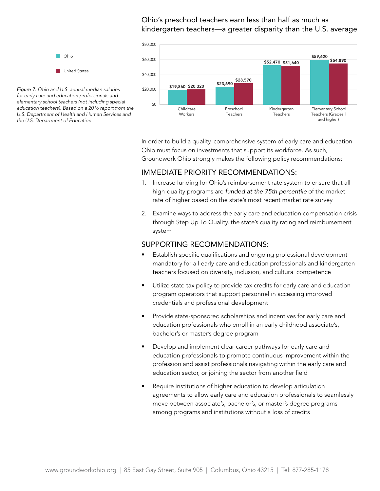#### Ohio's preschool teachers earn less than half as much as kindergarten teachers—a greater disparity than the U.S. average



\$0 *for early care and education professionals and Figure 7. Ohio and U.S. annual median salaries elementary school teachers (not including special education teachers). Based on a 2016 report from the U.S. Department of Health and Human Services and the U.S. Department of Education.*

> In order to build a quality, comprehensive system of early care and education Ohio must focus on investments that support its workforce. As such, Groundwork Ohio strongly makes the following policy recommendations:

#### IMMEDIATE PRIORITY RECOMMENDATIONS:

- 1. Increase funding for Ohio's reimbursement rate system to ensure that all high-quality programs are *funded at the 75th percentile* of the market rate of higher based on the state's most recent market rate survey
- 2. Examine ways to address the early care and education compensation crisis through Step Up To Quality, the state's quality rating and reimbursement system

- Establish specific qualifications and ongoing professional development mandatory for all early care and education professionals and kindergarten teachers focused on diversity, inclusion, and cultural competence
- Utilize state tax policy to provide tax credits for early care and education program operators that support personnel in accessing improved credentials and professional development
- Provide state-sponsored scholarships and incentives for early care and education professionals who enroll in an early childhood associate's, bachelor's or master's degree program
- Develop and implement clear career pathways for early care and education professionals to promote continuous improvement within the profession and assist professionals navigating within the early care and education sector, or joining the sector from another field
- Require institutions of higher education to develop articulation agreements to allow early care and education professionals to seamlessly move between associate's, bachelor's, or master's degree programs among programs and institutions without a loss of credits